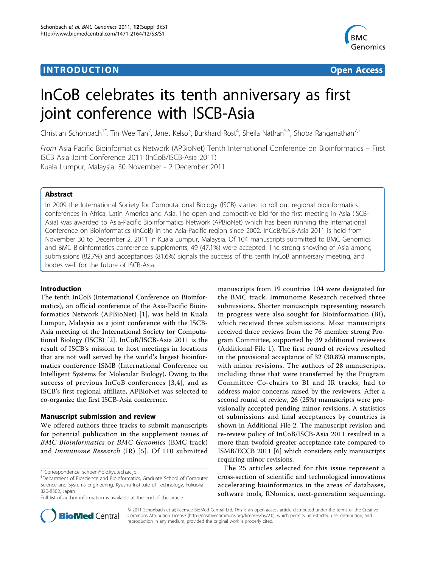# **INTRODUCTION CONSUMING THE CONSUMING TEACHER CONSUMING THE CONSUMING TEACHER CONSUMING THE CONSUMING TEACHER CONSUMING THE CONSUMING TEACHER CONSUMING THE CONSUMING THE CONSUMING THE CONSUMING THE CONSUMING THE CONSUMIN**



# InCoB celebrates its tenth anniversary as first joint conference with ISCB-Asia

Christian Schönbach<sup>1\*</sup>, Tin Wee Tan<sup>2</sup>, Janet Kelso<sup>3</sup>, Burkhard Rost<sup>4</sup>, Sheila Nathan<sup>5,6</sup>, Shoba Ranganathan<sup>7,2</sup>

From Asia Pacific Bioinformatics Network (APBioNet) Tenth International Conference on Bioinformatics – First ISCB Asia Joint Conference 2011 (InCoB/ISCB-Asia 2011) Kuala Lumpur, Malaysia. 30 November - 2 December 2011

# Abstract

In 2009 the International Society for Computational Biology (ISCB) started to roll out regional bioinformatics conferences in Africa, Latin America and Asia. The open and competitive bid for the first meeting in Asia (ISCB-Asia) was awarded to Asia-Pacific Bioinformatics Network (APBioNet) which has been running the International Conference on Bioinformatics (InCoB) in the Asia-Pacific region since 2002. InCoB/ISCB-Asia 2011 is held from November 30 to December 2, 2011 in Kuala Lumpur, Malaysia. Of 104 manuscripts submitted to BMC Genomics and BMC Bioinformatics conference supplements, 49 (47.1%) were accepted. The strong showing of Asia among submissions (82.7%) and acceptances (81.6%) signals the success of this tenth InCoB anniversary meeting, and bodes well for the future of ISCB-Asia.

# Introduction

The tenth InCoB (International Conference on Bioinformatics), an official conference of the Asia-Pacific Bioinformatics Network (APBioNet) [\[1\]](#page-3-0), was held in Kuala Lumpur, Malaysia as a joint conference with the ISCB-Asia meeting of the International Society for Computational Biology (ISCB) [[2](#page-3-0)]. InCoB/ISCB-Asia 2011 is the result of ISCB's mission to host meetings in locations that are not well served by the world's largest bioinformatics conference ISMB (International Conference on Intelligent Systems for Molecular Biology). Owing to the success of previous InCoB conferences [[3](#page-3-0),[4](#page-3-0)], and as ISCB's first regional affiliate, APBioNet was selected to co-organize the first ISCB-Asia conference.

# Manuscript submission and review

We offered authors three tracks to submit manuscripts for potential publication in the supplement issues of BMC Bioinformatics or BMC Genomics (BMC track) and Immunome Research (IR) [[5](#page-3-0)]. Of 110 submitted

\* Correspondence: [schoen@bio.kyutech.ac.jp](mailto:schoen@bio.kyutech.ac.jp)

manuscripts from 19 countries 104 were designated for the BMC track. Immunome Research received three submissions. Shorter manuscripts representing research in progress were also sought for Bioinformation (BI), which received three submissions. Most manuscripts received three reviews from the 76 member strong Program Committee, supported by 39 additional reviewers (Additional File [1\)](#page-2-0). The first round of reviews resulted in the provisional acceptance of 32 (30.8%) manuscripts, with minor revisions. The authors of 28 manuscripts, including three that were transferred by the Program Committee Co-chairs to BI and IR tracks, had to address major concerns raised by the reviewers. After a second round of review, 26 (25%) manuscripts were provisionally accepted pending minor revisions. A statistics of submissions and final acceptances by countries is shown in Additional File [2](#page-2-0). The manuscript revision and re-review policy of InCoB/ISCB-Asia 2011 resulted in a more than twofold greater acceptance rate compared to ISMB/ECCB 2011 [[6\]](#page-3-0) which considers only manuscripts requiring minor revisions.

The 25 articles selected for this issue represent a cross-section of scientific and technological innovations accelerating bioinformatics in the areas of databases, software tools, RNomics, next-generation sequencing,



© 2011 Schönbach et al; licensee BioMed Central Ltd. This is an open access article distributed under the terms of the Creative Commons Attribution License [\(http://creativecommons.org/licenses/by/2.0](http://creativecommons.org/licenses/by/2.0)), which permits unrestricted use, distribution, and reproduction in any medium, provided the original work is properly cited.

<sup>&</sup>lt;sup>1</sup>Department of Bioscience and Bioinformatics, Graduate School of Computer Science and Systems Engineering, Kyushu Institute of Technology, Fukuoka 820-8502, Japan

Full list of author information is available at the end of the article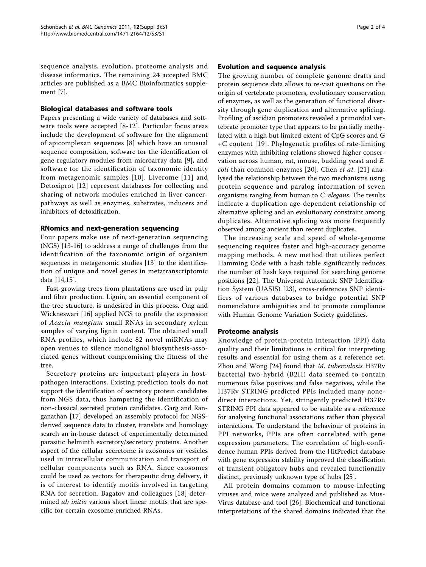sequence analysis, evolution, proteome analysis and disease informatics. The remaining 24 accepted BMC articles are published as a BMC Bioinformatics supplement [\[7](#page-3-0)].

#### Biological databases and software tools

Papers presenting a wide variety of databases and software tools were accepted [[8](#page-3-0)-[12\]](#page-3-0). Particular focus areas include the development of software for the alignment of apicomplexan sequences [\[8](#page-3-0)] which have an unusual sequence composition, software for the identification of gene regulatory modules from microarray data [\[9](#page-3-0)], and software for the identification of taxonomic identity from metagenomic samples [[10\]](#page-3-0). Liverome [[11](#page-3-0)] and Detoxiprot [[12](#page-3-0)] represent databases for collecting and sharing of network modules enriched in liver cancerpathways as well as enzymes, substrates, inducers and inhibitors of detoxification.

# RNomics and next-generation sequencing

Four papers make use of next-generation sequencing (NGS) [\[13-16](#page-3-0)] to address a range of challenges from the identification of the taxonomic origin of organism sequences in metagenomic studies [\[13](#page-3-0)] to the identification of unique and novel genes in metatranscriptomic data [\[14,15\]](#page-3-0).

Fast-growing trees from plantations are used in pulp and fiber production. Lignin, an essential component of the tree structure, is undesired in this process. Ong and Wickneswari [\[16](#page-3-0)] applied NGS to profile the expression of Acacia mangium small RNAs in secondary xylem samples of varying lignin content. The obtained small RNA profiles, which include 82 novel miRNAs may open venues to silence monolignol biosynthesis-associated genes without compromising the fitness of the tree.

Secretory proteins are important players in hostpathogen interactions. Existing prediction tools do not support the identification of secretory protein candidates from NGS data, thus hampering the identification of non-classical secreted protein candidates. Garg and Ranganathan [[17](#page-3-0)] developed an assembly protocol for NGSderived sequence data to cluster, translate and homology search an in-house dataset of experimentally determined parasitic helminth excretory/secretory proteins. Another aspect of the cellular secretome is exosomes or vesicles used in intracellular communication and transport of cellular components such as RNA. Since exosomes could be used as vectors for therapeutic drug delivery, it is of interest to identify motifs involved in targeting RNA for secretion. Bagatov and colleagues [[18](#page-3-0)] determined *ab initio* various short linear motifs that are specific for certain exosome-enriched RNAs.

#### Evolution and sequence analysis

The growing number of complete genome drafts and protein sequence data allows to re-visit questions on the origin of vertebrate promoters, evolutionary conservation of enzymes, as well as the generation of functional diversity through gene duplication and alternative splicing. Profiling of ascidian promoters revealed a primordial vertebrate promoter type that appears to be partially methylated with a high but limited extent of CpG scores and G +C content [[19](#page-3-0)]. Phylogenetic profiles of rate-limiting enzymes with inhibiting relations showed higher conservation across human, rat, mouse, budding yeast and E. *coli* than common enzymes [[20](#page-3-0)]. Chen *et al.* [[21\]](#page-3-0) analysed the relationship between the two mechanisms using protein sequence and paralog information of seven organisms ranging from human to C. elegans. The results indicate a duplication age-dependent relationship of alternative splicing and an evolutionary constraint among duplicates. Alternative splicing was more frequently observed among ancient than recent duplicates.

The increasing scale and speed of whole-genome sequencing requires faster and high-accuracy genome mapping methods. A new method that utilizes perfect Hamming Code with a hash table significantly reduces the number of hash keys required for searching genome positions [\[22\]](#page-3-0). The Universal Automatic SNP Identification System (UASIS) [[23](#page-3-0)], cross-references SNP identifiers of various databases to bridge potential SNP nomenclature ambiguities and to promote compliance with Human Genome Variation Society guidelines.

# Proteome analysis

Knowledge of protein-protein interaction (PPI) data quality and their limitations is critical for interpreting results and essential for using them as a reference set. Zhou and Wong [[24](#page-3-0)] found that M. tuberculosis H37Rv bacterial two-hybrid (B2H) data seemed to contain numerous false positives and false negatives, while the H37Rv STRING predicted PPIs included many nonedirect interactions. Yet, stringently predicted H37Rv STRING PPI data appeared to be suitable as a reference for analysing functional associations rather than physical interactions. To understand the behaviour of proteins in PPI networks, PPIs are often correlated with gene expression parameters. The correlation of high-confidence human PPIs derived from the HitPredict database with gene expression stability improved the classification of transient obligatory hubs and revealed functionally distinct, previously unknown type of hubs [[25](#page-3-0)].

All protein domains common to mouse-infecting viruses and mice were analyzed and published as Mus-Virus database and tool [\[26](#page-3-0)]. Biochemical and functional interpretations of the shared domains indicated that the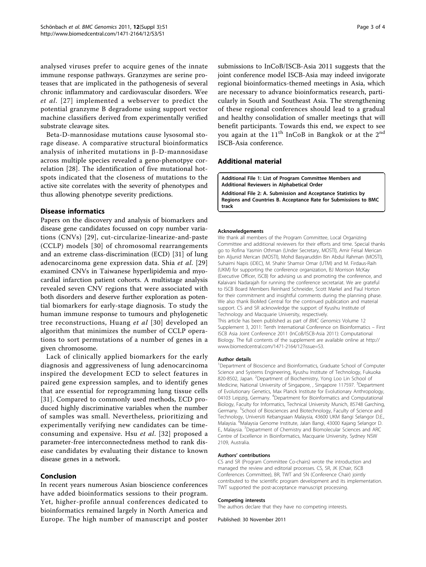<span id="page-2-0"></span>analysed viruses prefer to acquire genes of the innate immune response pathways. Granzymes are serine proteases that are implicated in the pathogenesis of several chronic inflammatory and cardiovascular disorders. Wee et al. [[27\]](#page-3-0) implemented a webserver to predict the potential granzyme B degradome using support vector machine classifiers derived from experimentally verified substrate cleavage sites.

Beta-D-mannosidase mutations cause lysosomal storage disease. A comparative structural bioinformatics analysis of inherited mutations in  $\beta$ -D-mannosidase across multiple species revealed a geno-phenotpye correlation [[28\]](#page-3-0). The identification of five mutational hotspots indicated that the closeness of mutations to the active site correlates with the severity of phenotypes and thus allowing phenotype severity predictions.

#### Disease informatics

Papers on the discovery and analysis of biomarkers and disease gene candidates focussed on copy number variations (CNVs) [\[29\]](#page-3-0), cut-circularize-linearize-and-paste (CCLP) models [[30](#page-3-0)] of chromosomal rearrangements and an extreme class-discrimination (ECD) [\[31](#page-3-0)] of lung adenocarcinoma gene expression data. Shia et al. [[29](#page-3-0)] examined CNVs in Taiwanese hyperlipidemia and myocardial infarction patient cohorts. A multistage analysis revealed seven CNV regions that were associated with both disorders and deserve further exploration as potential biomarkers for early-stage diagnosis. To study the human immune response to tumours and phylogenetic tree reconstructions, Huang *et al* [[30\]](#page-3-0) developed an algorithm that minimizes the number of CCLP operations to sort permutations of a number of genes in a given chromosome.

Lack of clinically applied biomarkers for the early diagnosis and aggressiveness of lung adenocarcinoma inspired the development ECD to select features in paired gene expression samples, and to identify genes that are essential for reprogramming lung tissue cells [[31](#page-3-0)]. Compared to commonly used methods, ECD produced highly discriminative variables when the number of samples was small. Nevertheless, prioritizing and experimentally verifying new candidates can be timeconsuming and expensive. Hsu et al. [\[32\]](#page-3-0) proposed a parameter-free interconnectedness method to rank disease candidates by evaluating their distance to known disease genes in a network.

#### Conclusion

In recent years numerous Asian bioscience conferences have added bioinformatics sessions to their program. Yet, higher-profile annual conferences dedicated to bioinformatics remained largely in North America and Europe. The high number of manuscript and poster

submissions to InCoB/ISCB-Asia 2011 suggests that the joint conference model ISCB-Asia may indeed invigorate regional bioinformatics-themed meetings in Asia, which are necessary to advance bioinformatics research, particularly in South and Southeast Asia. The strengthening of these regional conferences should lead to a gradual and healthy consolidation of smaller meetings that will benefit participants. Towards this end, we expect to see you again at the  $11<sup>th</sup>$  InCoB in Bangkok or at the  $2<sup>nd</sup>$ ISCB-Asia conference.

#### Additional material

[Additional File 1:](http://www.biomedcentral.com/content/supplementary/1471-2164-12-S3-S1-S1.pdf) List of Program Committee Members and Additional Reviewers in Alphabetical Order [Additional File 2:](http://www.biomedcentral.com/content/supplementary/1471-2164-12-S3-S1-S2.pdf) A. Submission and Acceptance Statistics by Regions and Countries B. Acceptance Rate for Submissions to BMC

#### Acknowledgements

track

We thank all members of the Program Committee, Local Organizing Committee and additional reviewers for their efforts and time. Special thanks go to Rofina Yasmin Othman (Under Secretary, MOSTI), Amir Feisal Merican bin Aljunid Merican (MOSTI), Mohd Basyaruddin Bin Abdul Rahman (MOSTI), Suhaimi Napis (iDEC), M. Shahir Shamsir Omar (UTM) and M. Firdaus-Raih (UKM) for supporting the conference organization, BJ Morrison McKay (Executive Officer, ISCB) for advising us and promoting the conference, and Kalaivani Nadarajah for running the conference secretariat. We are grateful to ISCB Board Members Reinhard Schneider, Scott Markel and Paul Horton for their commitment and insightful comments during the planning phase. We also thank BioMed Central for the continued publication and material support. CS and SR acknowledge the support of Kyushu Institute of Technology and Macquarie University, respectively.

This article has been published as part of BMC Genomics Volume 12 Supplement 3, 2011: Tenth International Conference on Bioinformatics – First ISCB Asia Joint Conference 2011 (InCoB/ISCB-Asia 2011): Computational Biology. The full contents of the supplement are available online at [http://](http://www.biomedcentral.com/1471-2164/12?issue=S3) [www.biomedcentral.com/1471-2164/12?issue=S3](http://www.biomedcentral.com/1471-2164/12?issue=S3).

#### Author details

<sup>1</sup>Department of Bioscience and Bioinformatics, Graduate School of Computer Science and Systems Engineering, Kyushu Institute of Technology, Fukuoka 820-8502, Japan. <sup>2</sup>Department of Biochemistry, Yong Loo Lin School of Medicine, National University of Singapore, , Singapore 117597. <sup>3</sup>Department of Evolutionary Genetics, Max Planck Institute for Evolutionary Anthropology, 04103 Leipzig, Germany. <sup>4</sup>Department for Bioinformatics and Computational Biology, Faculty for Informatics, Technical University Munich, 85748 Garching, Germany. <sup>5</sup>School of Biosciences and Biotechnology, Faculty of Science and Technology, Universiti Kebangsaan Malaysia, 43600 UKM Bangi Selangor D.E., Malaysia. <sup>6</sup>Malaysia Genome Institute, Jalan Bangi, 43000 Kajang Selangor D E., Malaysia. <sup>7</sup> Department of Chemistry and Biomolecular Sciences and ARC Centre of Excellence in Bioinformatics, Macquarie University, Sydney NSW 2109, Australia.

#### Authors' contributions

CS and SR (Program Committee Co-chairs) wrote the introduction and managed the review and editorial processes. CS, SR, JK (Chair, ISCB Conferences Committee), BR, TWT and SN (Conference Chair) jointly contributed to the scientific program development and its implementation. TWT supported the post-acceptance manuscript processing.

#### Competing interests

The authors declare that they have no competing interests.

Published: 30 November 2011